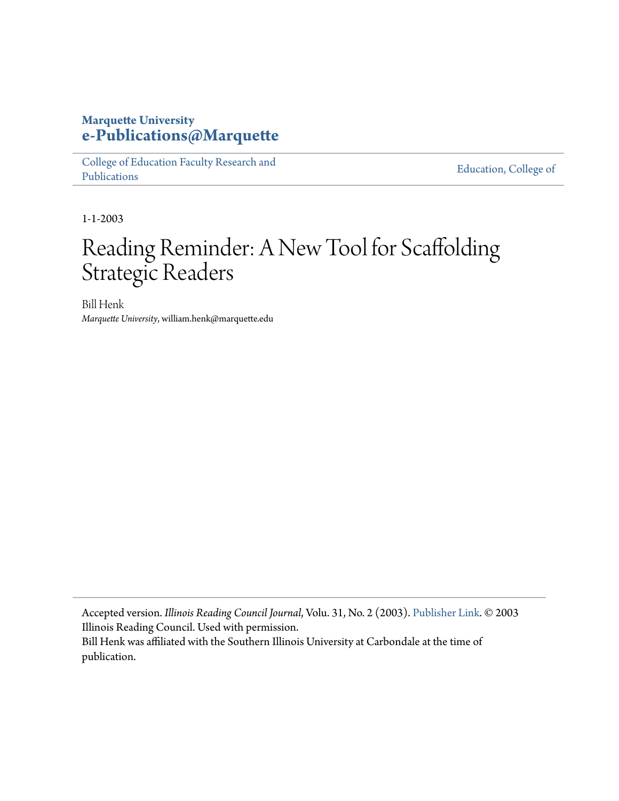## **Marquette University [e-Publications@Marquette](https://epublications.marquette.edu)**

[College of Education Faculty Research and](https://epublications.marquette.edu/edu_fac) [Publications](https://epublications.marquette.edu/edu_fac)

[Education, College of](https://epublications.marquette.edu/education)

1-1-2003

## Reading Reminder: A New Tool for Scaffolding Strategic Readers

Bill Henk *Marquette University*, william.henk@marquette.edu

Accepted version. *Illinois Reading Council Journal*, Volu. 31, No. 2 (2003). [Publisher Link](http://www.illinoisreadingcouncil.org/ircjournal.html). © 2003 Illinois Reading Council. Used with permission. Bill Henk was affiliated with the Southern Illinois University at Carbondale at the time of publication.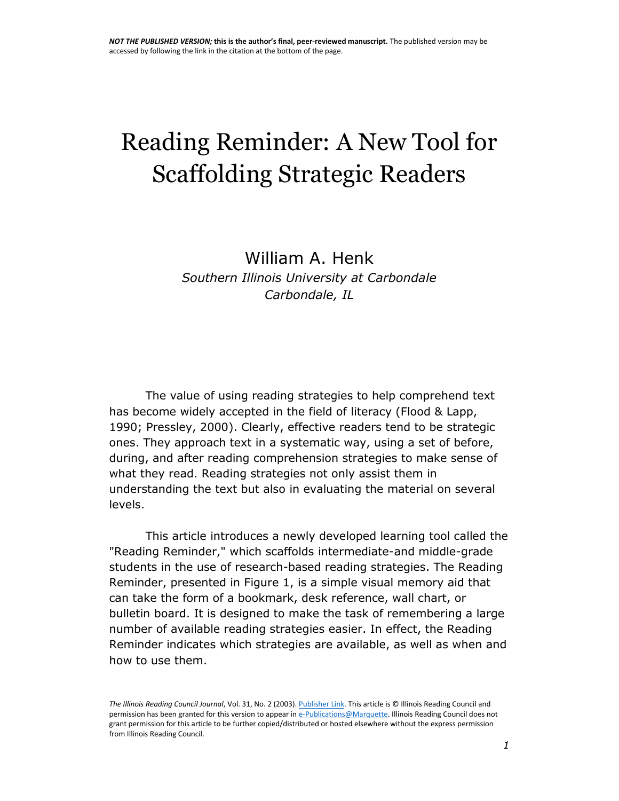# Reading Reminder: A New Tool for Scaffolding Strategic Readers

William A. Henk *Southern Illinois University at Carbondale Carbondale, IL*

The value of using reading strategies to help comprehend text has become widely accepted in the field of literacy (Flood & Lapp, 1990; Pressley, 2000). Clearly, effective readers tend to be strategic ones. They approach text in a systematic way, using a set of before, during, and after reading comprehension strategies to make sense of what they read. Reading strategies not only assist them in understanding the text but also in evaluating the material on several levels.

This article introduces a newly developed learning tool called the "Reading Reminder," which scaffolds intermediate-and middle-grade students in the use of research-based reading strategies. The Reading Reminder, presented in Figure 1, is a simple visual memory aid that can take the form of a bookmark, desk reference, wall chart, or bulletin board. It is designed to make the task of remembering a large number of available reading strategies easier. In effect, the Reading Reminder indicates which strategies are available, as well as when and how to use them.

*The Illinois Reading Council Journal*, Vol. 31, No. 2 (2003)[. Publisher Link.](http://www.illinoisreadingcouncil.org/ircjournal.html) This article is © Illinois Reading Council and permission has been granted for this version to appear i[n e-Publications@Marquette.](http://epublications.marquette.edu/) Illinois Reading Council does not grant permission for this article to be further copied/distributed or hosted elsewhere without the express permission from Illinois Reading Council.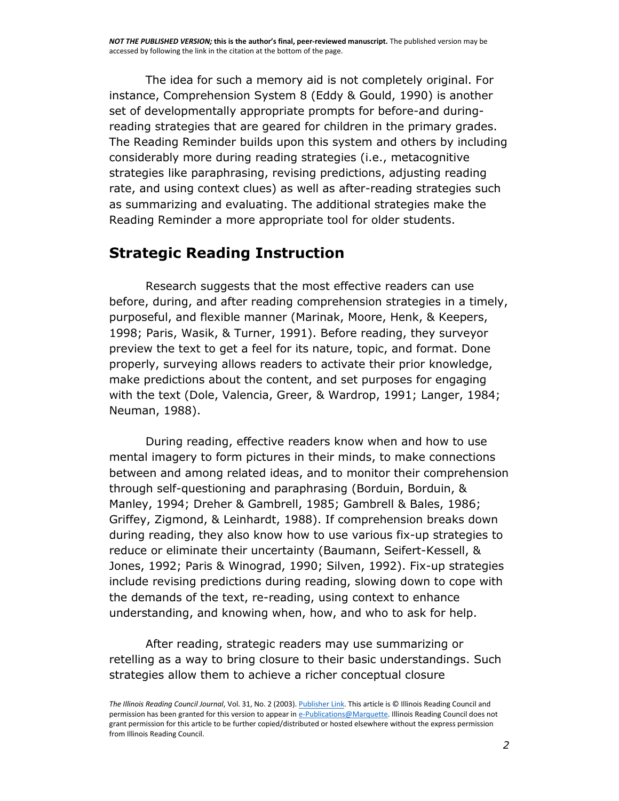The idea for such a memory aid is not completely original. For instance, Comprehension System 8 (Eddy & Gould, 1990) is another set of developmentally appropriate prompts for before-and duringreading strategies that are geared for children in the primary grades. The Reading Reminder builds upon this system and others by including considerably more during reading strategies (i.e., metacognitive strategies like paraphrasing, revising predictions, adjusting reading rate, and using context clues) as well as after-reading strategies such as summarizing and evaluating. The additional strategies make the Reading Reminder a more appropriate tool for older students.

## **Strategic Reading Instruction**

Research suggests that the most effective readers can use before, during, and after reading comprehension strategies in a timely, purposeful, and flexible manner (Marinak, Moore, Henk, & Keepers, 1998; Paris, Wasik, & Turner, 1991). Before reading, they surveyor preview the text to get a feel for its nature, topic, and format. Done properly, surveying allows readers to activate their prior knowledge, make predictions about the content, and set purposes for engaging with the text (Dole, Valencia, Greer, & Wardrop, 1991; Langer, 1984; Neuman, 1988).

During reading, effective readers know when and how to use mental imagery to form pictures in their minds, to make connections between and among related ideas, and to monitor their comprehension through self-questioning and paraphrasing (Borduin, Borduin, & Manley, 1994; Dreher & Gambrell, 1985; Gambrell & Bales, 1986; Griffey, Zigmond, & Leinhardt, 1988). If comprehension breaks down during reading, they also know how to use various fix-up strategies to reduce or eliminate their uncertainty (Baumann, Seifert-Kessell, & Jones, 1992; Paris & Winograd, 1990; Silven, 1992). Fix-up strategies include revising predictions during reading, slowing down to cope with the demands of the text, re-reading, using context to enhance understanding, and knowing when, how, and who to ask for help.

After reading, strategic readers may use summarizing or retelling as a way to bring closure to their basic understandings. Such strategies allow them to achieve a richer conceptual closure

*The Illinois Reading Council Journal*, Vol. 31, No. 2 (2003)[. Publisher Link.](http://www.illinoisreadingcouncil.org/ircjournal.html) This article is © Illinois Reading Council and permission has been granted for this version to appear i[n e-Publications@Marquette.](http://epublications.marquette.edu/) Illinois Reading Council does not grant permission for this article to be further copied/distributed or hosted elsewhere without the express permission from Illinois Reading Council.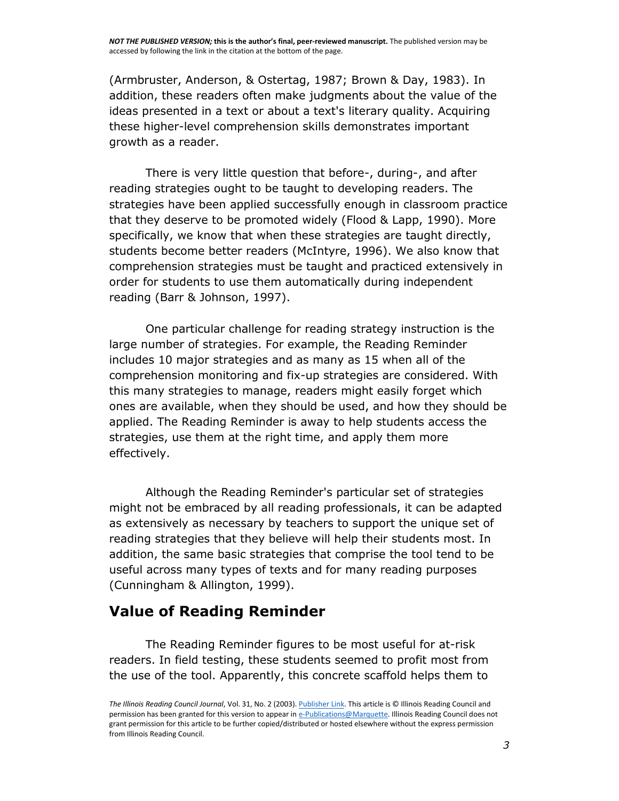(Armbruster, Anderson, & Ostertag, 1987; Brown & Day, 1983). In addition, these readers often make judgments about the value of the ideas presented in a text or about a text's literary quality. Acquiring these higher-level comprehension skills demonstrates important growth as a reader.

There is very little question that before-, during-, and after reading strategies ought to be taught to developing readers. The strategies have been applied successfully enough in classroom practice that they deserve to be promoted widely (Flood & Lapp, 1990). More specifically, we know that when these strategies are taught directly, students become better readers (McIntyre, 1996). We also know that comprehension strategies must be taught and practiced extensively in order for students to use them automatically during independent reading (Barr & Johnson, 1997).

One particular challenge for reading strategy instruction is the large number of strategies. For example, the Reading Reminder includes 10 major strategies and as many as 15 when all of the comprehension monitoring and fix-up strategies are considered. With this many strategies to manage, readers might easily forget which ones are available, when they should be used, and how they should be applied. The Reading Reminder is away to help students access the strategies, use them at the right time, and apply them more effectively.

Although the Reading Reminder's particular set of strategies might not be embraced by all reading professionals, it can be adapted as extensively as necessary by teachers to support the unique set of reading strategies that they believe will help their students most. In addition, the same basic strategies that comprise the tool tend to be useful across many types of texts and for many reading purposes (Cunningham & Allington, 1999).

## **Value of Reading Reminder**

The Reading Reminder figures to be most useful for at-risk readers. In field testing, these students seemed to profit most from the use of the tool. Apparently, this concrete scaffold helps them to

*The Illinois Reading Council Journal*, Vol. 31, No. 2 (2003)[. Publisher Link.](http://www.illinoisreadingcouncil.org/ircjournal.html) This article is © Illinois Reading Council and permission has been granted for this version to appear i[n e-Publications@Marquette.](http://epublications.marquette.edu/) Illinois Reading Council does not grant permission for this article to be further copied/distributed or hosted elsewhere without the express permission from Illinois Reading Council.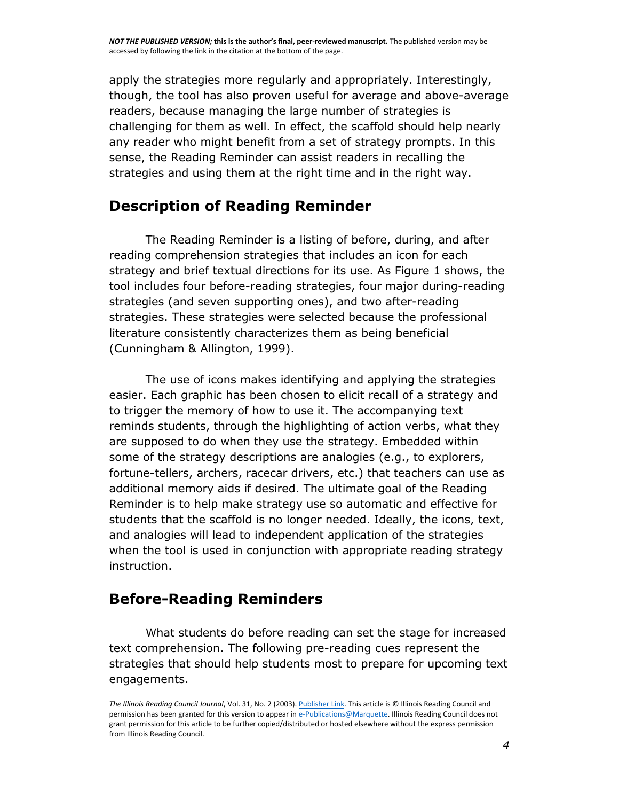*NOT THE PUBLISHED VERSION;* **this is the author's final, peer-reviewed manuscript.** The published version may be accessed by following the link in the citation at the bottom of the page.

apply the strategies more regularly and appropriately. Interestingly, though, the tool has also proven useful for average and above-average readers, because managing the large number of strategies is challenging for them as well. In effect, the scaffold should help nearly any reader who might benefit from a set of strategy prompts. In this sense, the Reading Reminder can assist readers in recalling the strategies and using them at the right time and in the right way.

#### **Description of Reading Reminder**

The Reading Reminder is a listing of before, during, and after reading comprehension strategies that includes an icon for each strategy and brief textual directions for its use. As Figure 1 shows, the tool includes four before-reading strategies, four major during-reading strategies (and seven supporting ones), and two after-reading strategies. These strategies were selected because the professional literature consistently characterizes them as being beneficial (Cunningham & Allington, 1999).

The use of icons makes identifying and applying the strategies easier. Each graphic has been chosen to elicit recall of a strategy and to trigger the memory of how to use it. The accompanying text reminds students, through the highlighting of action verbs, what they are supposed to do when they use the strategy. Embedded within some of the strategy descriptions are analogies (e.g., to explorers, fortune-tellers, archers, racecar drivers, etc.) that teachers can use as additional memory aids if desired. The ultimate goal of the Reading Reminder is to help make strategy use so automatic and effective for students that the scaffold is no longer needed. Ideally, the icons, text, and analogies will lead to independent application of the strategies when the tool is used in conjunction with appropriate reading strategy instruction.

## **Before-Reading Reminders**

What students do before reading can set the stage for increased text comprehension. The following pre-reading cues represent the strategies that should help students most to prepare for upcoming text engagements.

*The Illinois Reading Council Journal*, Vol. 31, No. 2 (2003)[. Publisher Link.](http://www.illinoisreadingcouncil.org/ircjournal.html) This article is © Illinois Reading Council and permission has been granted for this version to appear i[n e-Publications@Marquette.](http://epublications.marquette.edu/) Illinois Reading Council does not grant permission for this article to be further copied/distributed or hosted elsewhere without the express permission from Illinois Reading Council.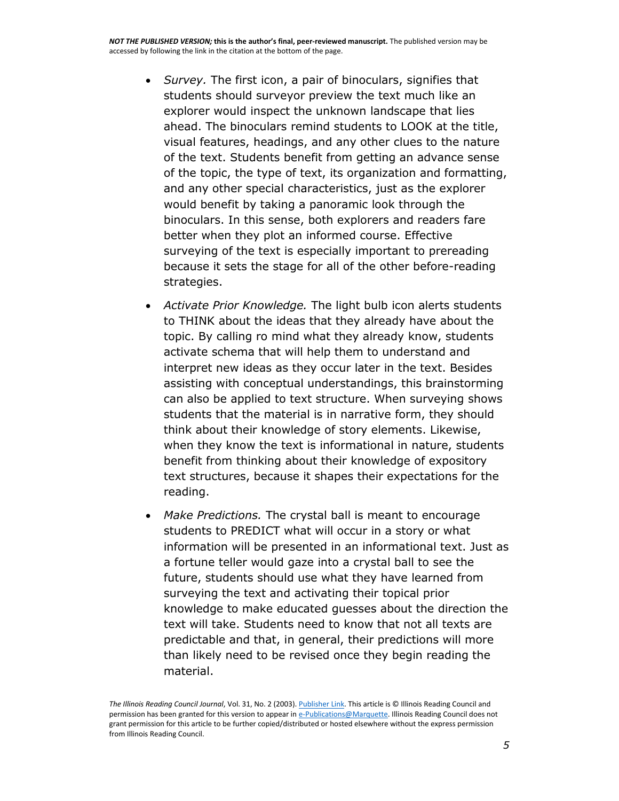- *Survey.* The first icon, a pair of binoculars, signifies that students should surveyor preview the text much like an explorer would inspect the unknown landscape that lies ahead. The binoculars remind students to LOOK at the title, visual features, headings, and any other clues to the nature of the text. Students benefit from getting an advance sense of the topic, the type of text, its organization and formatting, and any other special characteristics, just as the explorer would benefit by taking a panoramic look through the binoculars. In this sense, both explorers and readers fare better when they plot an informed course. Effective surveying of the text is especially important to prereading because it sets the stage for all of the other before-reading strategies.
- *Activate Prior Knowledge.* The light bulb icon alerts students to THINK about the ideas that they already have about the topic. By calling ro mind what they already know, students activate schema that will help them to understand and interpret new ideas as they occur later in the text. Besides assisting with conceptual understandings, this brainstorming can also be applied to text structure. When surveying shows students that the material is in narrative form, they should think about their knowledge of story elements. Likewise, when they know the text is informational in nature, students benefit from thinking about their knowledge of expository text structures, because it shapes their expectations for the reading.
- *Make Predictions.* The crystal ball is meant to encourage students to PREDICT what will occur in a story or what information will be presented in an informational text. Just as a fortune teller would gaze into a crystal ball to see the future, students should use what they have learned from surveying the text and activating their topical prior knowledge to make educated guesses about the direction the text will take. Students need to know that not all texts are predictable and that, in general, their predictions will more than likely need to be revised once they begin reading the material.

*The Illinois Reading Council Journal*, Vol. 31, No. 2 (2003)[. Publisher Link.](http://www.illinoisreadingcouncil.org/ircjournal.html) This article is © Illinois Reading Council and permission has been granted for this version to appear i[n e-Publications@Marquette.](http://epublications.marquette.edu/) Illinois Reading Council does not grant permission for this article to be further copied/distributed or hosted elsewhere without the express permission from Illinois Reading Council.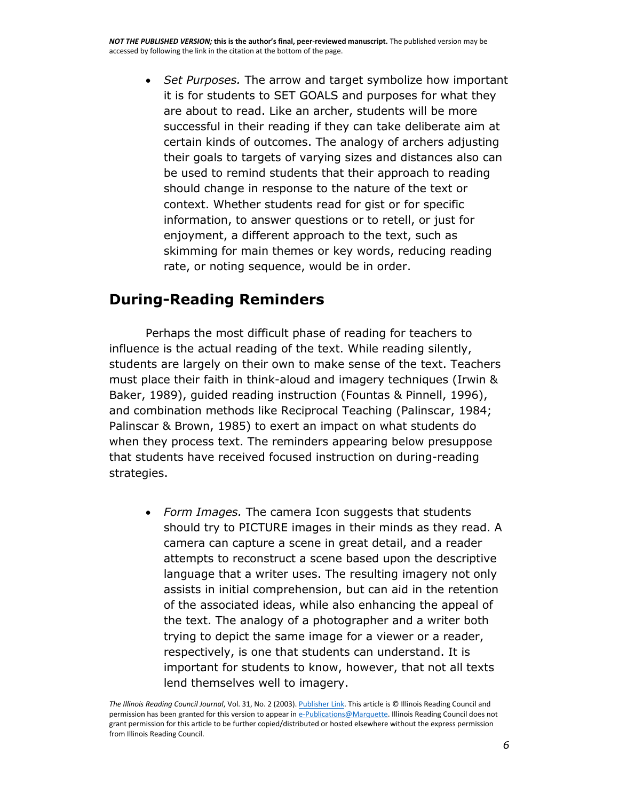*Set Purposes.* The arrow and target symbolize how important it is for students to SET GOALS and purposes for what they are about to read. Like an archer, students will be more successful in their reading if they can take deliberate aim at certain kinds of outcomes. The analogy of archers adjusting their goals to targets of varying sizes and distances also can be used to remind students that their approach to reading should change in response to the nature of the text or context. Whether students read for gist or for specific information, to answer questions or to retell, or just for enjoyment, a different approach to the text, such as skimming for main themes or key words, reducing reading rate, or noting sequence, would be in order.

## **During-Reading Reminders**

Perhaps the most difficult phase of reading for teachers to influence is the actual reading of the text. While reading silently, students are largely on their own to make sense of the text. Teachers must place their faith in think-aloud and imagery techniques (Irwin & Baker, 1989), guided reading instruction (Fountas & Pinnell, 1996), and combination methods like Reciprocal Teaching (Palinscar, 1984; Palinscar & Brown, 1985) to exert an impact on what students do when they process text. The reminders appearing below presuppose that students have received focused instruction on during-reading strategies.

 *Form Images.* The camera Icon suggests that students should try to PICTURE images in their minds as they read. A camera can capture a scene in great detail, and a reader attempts to reconstruct a scene based upon the descriptive language that a writer uses. The resulting imagery not only assists in initial comprehension, but can aid in the retention of the associated ideas, while also enhancing the appeal of the text. The analogy of a photographer and a writer both trying to depict the same image for a viewer or a reader, respectively, is one that students can understand. It is important for students to know, however, that not all texts lend themselves well to imagery.

*The Illinois Reading Council Journal*, Vol. 31, No. 2 (2003)[. Publisher Link.](http://www.illinoisreadingcouncil.org/ircjournal.html) This article is © Illinois Reading Council and permission has been granted for this version to appear i[n e-Publications@Marquette.](http://epublications.marquette.edu/) Illinois Reading Council does not grant permission for this article to be further copied/distributed or hosted elsewhere without the express permission from Illinois Reading Council.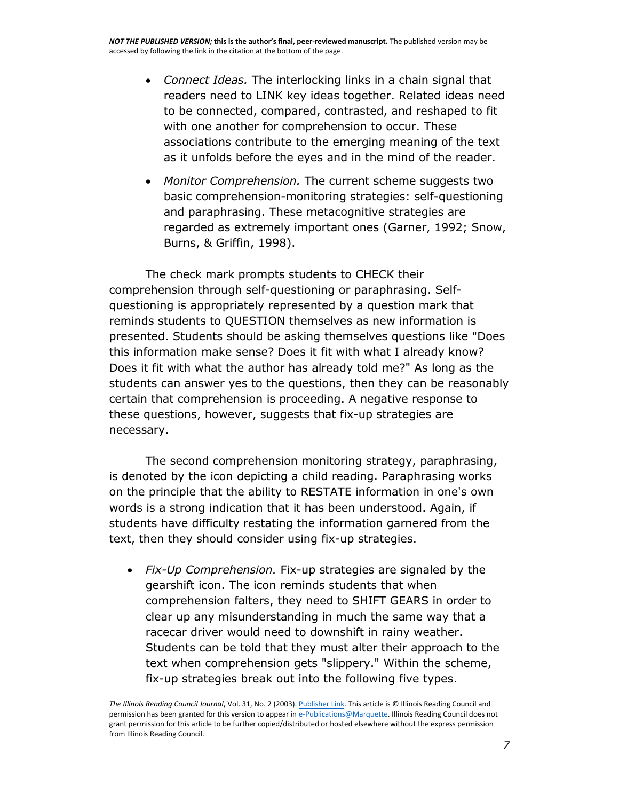- *Connect Ideas.* The interlocking links in a chain signal that readers need to LINK key ideas together. Related ideas need to be connected, compared, contrasted, and reshaped to fit with one another for comprehension to occur. These associations contribute to the emerging meaning of the text as it unfolds before the eyes and in the mind of the reader.
- *Monitor Comprehension.* The current scheme suggests two basic comprehension-monitoring strategies: self-questioning and paraphrasing. These metacognitive strategies are regarded as extremely important ones (Garner, 1992; Snow, Burns, & Griffin, 1998).

The check mark prompts students to CHECK their comprehension through self-questioning or paraphrasing. Selfquestioning is appropriately represented by a question mark that reminds students to QUESTION themselves as new information is presented. Students should be asking themselves questions like "Does this information make sense? Does it fit with what I already know? Does it fit with what the author has already told me?" As long as the students can answer yes to the questions, then they can be reasonably certain that comprehension is proceeding. A negative response to these questions, however, suggests that fix-up strategies are necessary.

The second comprehension monitoring strategy, paraphrasing, is denoted by the icon depicting a child reading. Paraphrasing works on the principle that the ability to RESTATE information in one's own words is a strong indication that it has been understood. Again, if students have difficulty restating the information garnered from the text, then they should consider using fix-up strategies.

 *Fix-Up Comprehension.* Fix-up strategies are signaled by the gearshift icon. The icon reminds students that when comprehension falters, they need to SHIFT GEARS in order to clear up any misunderstanding in much the same way that a racecar driver would need to downshift in rainy weather. Students can be told that they must alter their approach to the text when comprehension gets "slippery." Within the scheme, fix-up strategies break out into the following five types.

*The Illinois Reading Council Journal*, Vol. 31, No. 2 (2003)[. Publisher Link.](http://www.illinoisreadingcouncil.org/ircjournal.html) This article is © Illinois Reading Council and permission has been granted for this version to appear i[n e-Publications@Marquette.](http://epublications.marquette.edu/) Illinois Reading Council does not grant permission for this article to be further copied/distributed or hosted elsewhere without the express permission from Illinois Reading Council.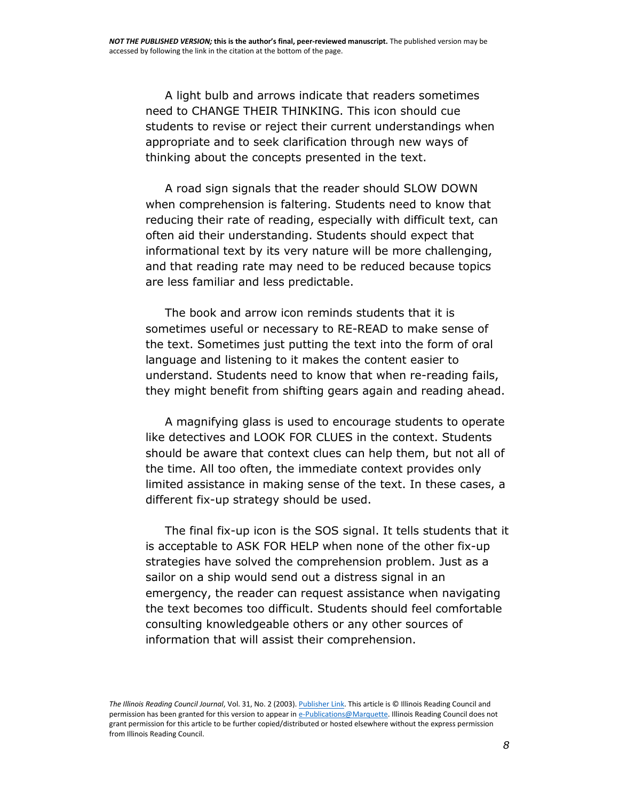A light bulb and arrows indicate that readers sometimes need to CHANGE THEIR THINKING. This icon should cue students to revise or reject their current understandings when appropriate and to seek clarification through new ways of thinking about the concepts presented in the text.

 A road sign signals that the reader should SLOW DOWN when comprehension is faltering. Students need to know that reducing their rate of reading, especially with difficult text, can often aid their understanding. Students should expect that informational text by its very nature will be more challenging, and that reading rate may need to be reduced because topics are less familiar and less predictable.

 The book and arrow icon reminds students that it is sometimes useful or necessary to RE-READ to make sense of the text. Sometimes just putting the text into the form of oral language and listening to it makes the content easier to understand. Students need to know that when re-reading fails, they might benefit from shifting gears again and reading ahead.

 A magnifying glass is used to encourage students to operate like detectives and LOOK FOR CLUES in the context. Students should be aware that context clues can help them, but not all of the time. All too often, the immediate context provides only limited assistance in making sense of the text. In these cases, a different fix-up strategy should be used.

 The final fix-up icon is the SOS signal. It tells students that it is acceptable to ASK FOR HELP when none of the other fix-up strategies have solved the comprehension problem. Just as a sailor on a ship would send out a distress signal in an emergency, the reader can request assistance when navigating the text becomes too difficult. Students should feel comfortable consulting knowledgeable others or any other sources of information that will assist their comprehension.

*The Illinois Reading Council Journal*, Vol. 31, No. 2 (2003)[. Publisher Link.](http://www.illinoisreadingcouncil.org/ircjournal.html) This article is © Illinois Reading Council and permission has been granted for this version to appear i[n e-Publications@Marquette.](http://epublications.marquette.edu/) Illinois Reading Council does not grant permission for this article to be further copied/distributed or hosted elsewhere without the express permission from Illinois Reading Council.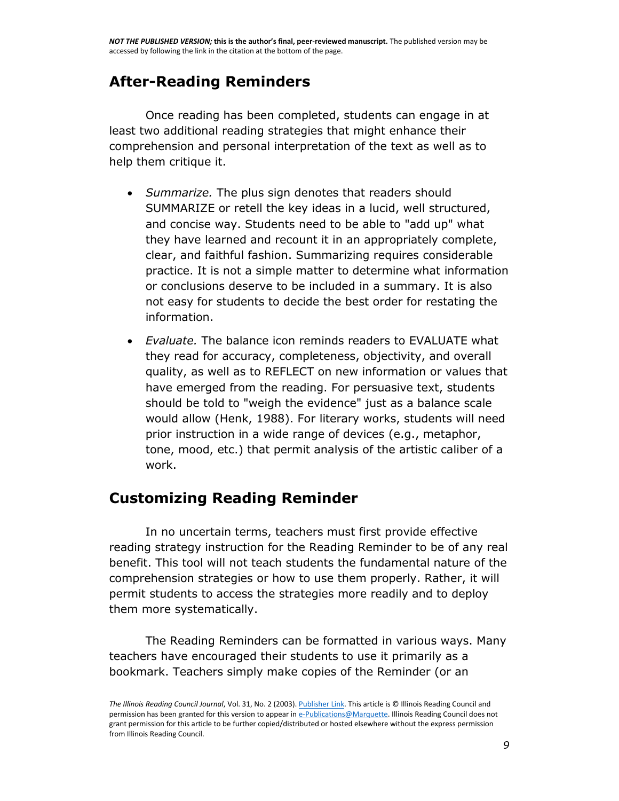## **After-Reading Reminders**

Once reading has been completed, students can engage in at least two additional reading strategies that might enhance their comprehension and personal interpretation of the text as well as to help them critique it.

- *Summarize.* The plus sign denotes that readers should SUMMARIZE or retell the key ideas in a lucid, well structured, and concise way. Students need to be able to "add up" what they have learned and recount it in an appropriately complete, clear, and faithful fashion. Summarizing requires considerable practice. It is not a simple matter to determine what information or conclusions deserve to be included in a summary. It is also not easy for students to decide the best order for restating the information.
- *Evaluate.* The balance icon reminds readers to EVALUATE what they read for accuracy, completeness, objectivity, and overall quality, as well as to REFLECT on new information or values that have emerged from the reading. For persuasive text, students should be told to "weigh the evidence" just as a balance scale would allow (Henk, 1988). For literary works, students will need prior instruction in a wide range of devices (e.g., metaphor, tone, mood, etc.) that permit analysis of the artistic caliber of a work.

## **Customizing Reading Reminder**

In no uncertain terms, teachers must first provide effective reading strategy instruction for the Reading Reminder to be of any real benefit. This tool will not teach students the fundamental nature of the comprehension strategies or how to use them properly. Rather, it will permit students to access the strategies more readily and to deploy them more systematically.

The Reading Reminders can be formatted in various ways. Many teachers have encouraged their students to use it primarily as a bookmark. Teachers simply make copies of the Reminder (or an

*The Illinois Reading Council Journal*, Vol. 31, No. 2 (2003)[. Publisher Link.](http://www.illinoisreadingcouncil.org/ircjournal.html) This article is © Illinois Reading Council and permission has been granted for this version to appear i[n e-Publications@Marquette.](http://epublications.marquette.edu/) Illinois Reading Council does not grant permission for this article to be further copied/distributed or hosted elsewhere without the express permission from Illinois Reading Council.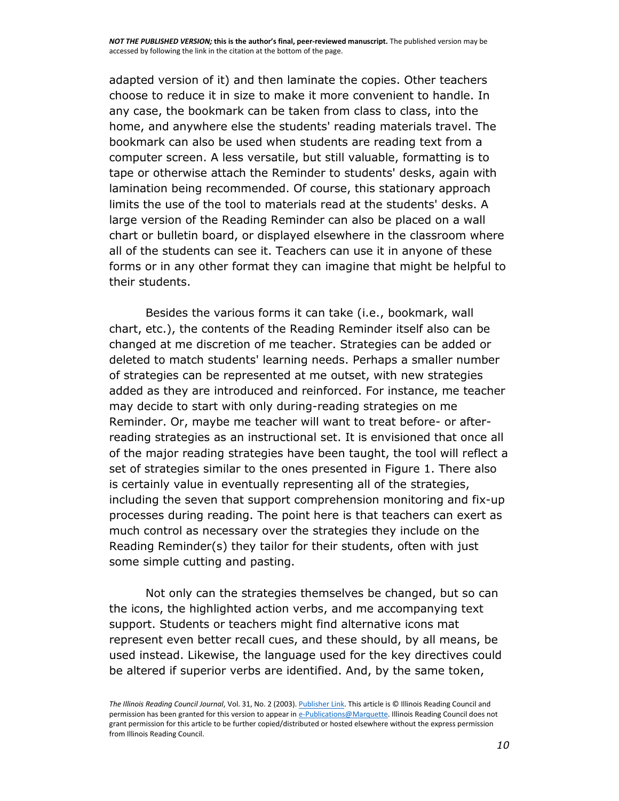adapted version of it) and then laminate the copies. Other teachers choose to reduce it in size to make it more convenient to handle. In any case, the bookmark can be taken from class to class, into the home, and anywhere else the students' reading materials travel. The bookmark can also be used when students are reading text from a computer screen. A less versatile, but still valuable, formatting is to tape or otherwise attach the Reminder to students' desks, again with lamination being recommended. Of course, this stationary approach limits the use of the tool to materials read at the students' desks. A large version of the Reading Reminder can also be placed on a wall chart or bulletin board, or displayed elsewhere in the classroom where all of the students can see it. Teachers can use it in anyone of these forms or in any other format they can imagine that might be helpful to their students.

Besides the various forms it can take (i.e., bookmark, wall chart, etc.), the contents of the Reading Reminder itself also can be changed at me discretion of me teacher. Strategies can be added or deleted to match students' learning needs. Perhaps a smaller number of strategies can be represented at me outset, with new strategies added as they are introduced and reinforced. For instance, me teacher may decide to start with only during-reading strategies on me Reminder. Or, maybe me teacher will want to treat before- or afterreading strategies as an instructional set. It is envisioned that once all of the major reading strategies have been taught, the tool will reflect a set of strategies similar to the ones presented in Figure 1. There also is certainly value in eventually representing all of the strategies, including the seven that support comprehension monitoring and fix-up processes during reading. The point here is that teachers can exert as much control as necessary over the strategies they include on the Reading Reminder(s) they tailor for their students, often with just some simple cutting and pasting.

Not only can the strategies themselves be changed, but so can the icons, the highlighted action verbs, and me accompanying text support. Students or teachers might find alternative icons mat represent even better recall cues, and these should, by all means, be used instead. Likewise, the language used for the key directives could be altered if superior verbs are identified. And, by the same token,

*The Illinois Reading Council Journal*, Vol. 31, No. 2 (2003)[. Publisher Link.](http://www.illinoisreadingcouncil.org/ircjournal.html) This article is © Illinois Reading Council and permission has been granted for this version to appear i[n e-Publications@Marquette.](http://epublications.marquette.edu/) Illinois Reading Council does not grant permission for this article to be further copied/distributed or hosted elsewhere without the express permission from Illinois Reading Council.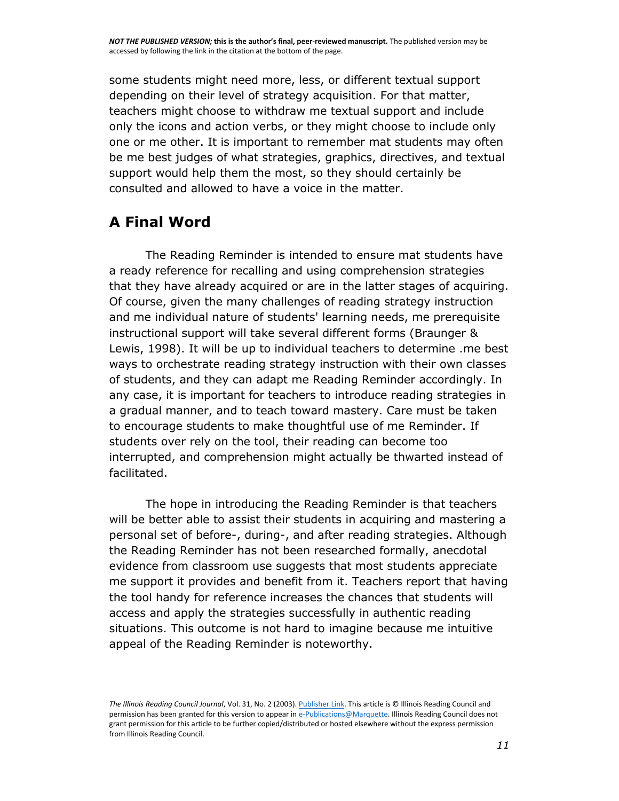some students might need more, less, or different textual support depending on their level of strategy acquisition. For that matter, teachers might choose to withdraw me textual support and include only the icons and action verbs, or they might choose to include only one or me other. It is important to remember mat students may often be me best judges of what strategies, graphics, directives, and textual support would help them the most, so they should certainly be consulted and allowed to have a voice in the matter.

## **A Final Word**

The Reading Reminder is intended to ensure mat students have a ready reference for recalling and using comprehension strategies that they have already acquired or are in the latter stages of acquiring. Of course, given the many challenges of reading strategy instruction and me individual nature of students' learning needs, me prerequisite instructional support will take several different forms (Braunger & Lewis, 1998). It will be up to individual teachers to determine .me best ways to orchestrate reading strategy instruction with their own classes of students, and they can adapt me Reading Reminder accordingly. In any case, it is important for teachers to introduce reading strategies in a gradual manner, and to teach toward mastery. Care must be taken to encourage students to make thoughtful use of me Reminder. If students over rely on the tool, their reading can become too interrupted, and comprehension might actually be thwarted instead of facilitated.

The hope in introducing the Reading Reminder is that teachers will be better able to assist their students in acquiring and mastering a personal set of before-, during-, and after reading strategies. Although the Reading Reminder has not been researched formally, anecdotal evidence from classroom use suggests that most students appreciate me support it provides and benefit from it. Teachers report that having the tool handy for reference increases the chances that students will access and apply the strategies successfully in authentic reading situations. This outcome is not hard to imagine because me intuitive appeal of the Reading Reminder is noteworthy.

*The Illinois Reading Council Journal*, Vol. 31, No. 2 (2003)[. Publisher Link.](http://www.illinoisreadingcouncil.org/ircjournal.html) This article is © Illinois Reading Council and permission has been granted for this version to appear i[n e-Publications@Marquette.](http://epublications.marquette.edu/) Illinois Reading Council does not grant permission for this article to be further copied/distributed or hosted elsewhere without the express permission from Illinois Reading Council.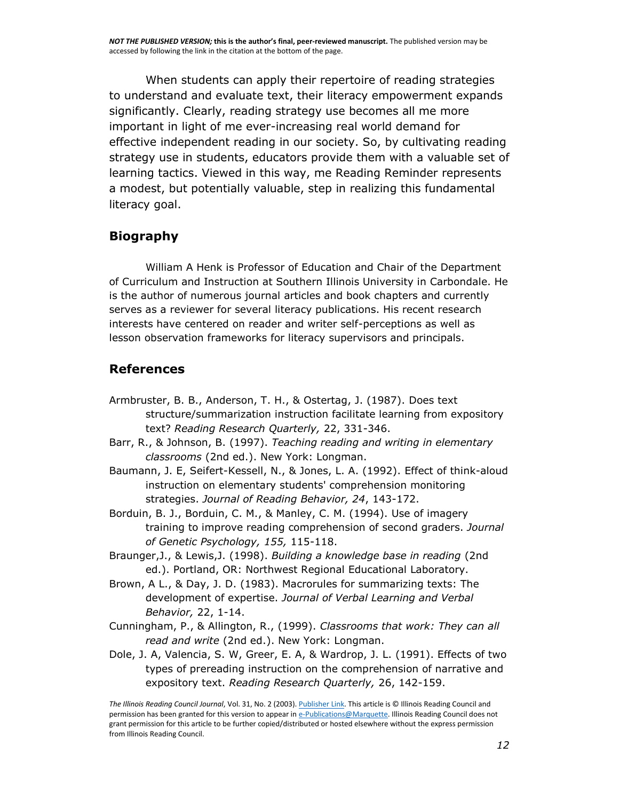When students can apply their repertoire of reading strategies to understand and evaluate text, their literacy empowerment expands significantly. Clearly, reading strategy use becomes all me more important in light of me ever-increasing real world demand for effective independent reading in our society. So, by cultivating reading strategy use in students, educators provide them with a valuable set of learning tactics. Viewed in this way, me Reading Reminder represents a modest, but potentially valuable, step in realizing this fundamental literacy goal.

#### **Biography**

William A Henk is Professor of Education and Chair of the Department of Curriculum and Instruction at Southern Illinois University in Carbondale. He is the author of numerous journal articles and book chapters and currently serves as a reviewer for several literacy publications. His recent research interests have centered on reader and writer self-perceptions as well as lesson observation frameworks for literacy supervisors and principals.

#### **References**

- Armbruster, B. B., Anderson, T. H., & Ostertag, J. (1987). Does text structure/summarization instruction facilitate learning from expository text? *Reading Research Quarterly,* 22, 331-346.
- Barr, R., & Johnson, B. (1997). *Teaching reading and writing in elementary classrooms* (2nd ed.). New York: Longman.
- Baumann, J. E, Seifert-Kessell, N., & Jones, L. A. (1992). Effect of think-aloud instruction on elementary students' comprehension monitoring strategies. *Journal of Reading Behavior, 24*, 143-172.
- Borduin, B. J., Borduin, C. M., & Manley, C. M. (1994). Use of imagery training to improve reading comprehension of second graders. *Journal of Genetic Psychology, 155,* 115-118.
- Braunger,J., & Lewis,J. (1998). *Building a knowledge base in reading* (2nd ed.). Portland, OR: Northwest Regional Educational Laboratory.
- Brown, A L., & Day, J. D. (1983). Macrorules for summarizing texts: The development of expertise. *Journal of Verbal Learning and Verbal Behavior,* 22, 1-14.
- Cunningham, P., & Allington, R., (1999). *Classrooms that work: They can all read and write* (2nd ed.). New York: Longman.
- Dole, J. A, Valencia, S. W, Greer, E. A, & Wardrop, J. L. (1991). Effects of two types of prereading instruction on the comprehension of narrative and expository text. *Reading Research Quarterly,* 26, 142-159.

*The Illinois Reading Council Journal*, Vol. 31, No. 2 (2003)[. Publisher Link.](http://www.illinoisreadingcouncil.org/ircjournal.html) This article is © Illinois Reading Council and permission has been granted for this version to appear i[n e-Publications@Marquette.](http://epublications.marquette.edu/) Illinois Reading Council does not grant permission for this article to be further copied/distributed or hosted elsewhere without the express permission from Illinois Reading Council.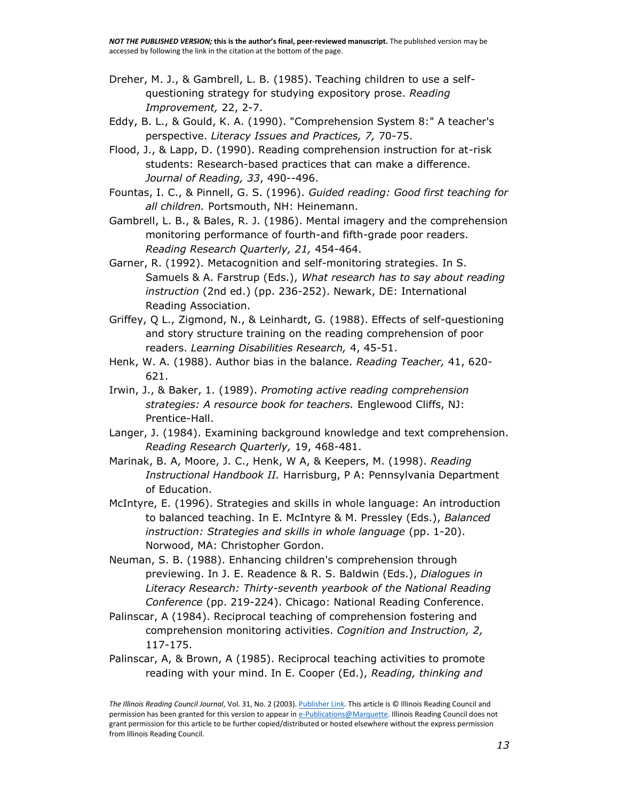- Dreher, M. J., & Gambrell, L. B. (1985). Teaching children to use a selfquestioning strategy for studying expository prose. *Reading Improvement,* 22, 2-7.
- Eddy, B. L., & Gould, K. A. (1990). "Comprehension System 8:" A teacher's perspective. *Literacy Issues and Practices, 7,* 70-75.
- Flood, J., & Lapp, D. (1990). Reading comprehension instruction for at-risk students: Research-based practices that can make a difference. *Journal of Reading, 33*, 490--496.
- Fountas, I. C., & Pinnell, G. S. (1996). *Guided reading: Good first teaching for all children.* Portsmouth, NH: Heinemann.
- Gambrell, L. B., & Bales, R. J. (1986). Mental imagery and the comprehension monitoring performance of fourth-and fifth-grade poor readers. *Reading Research Quarterly, 21,* 454-464.
- Garner, R. (1992). Metacognition and self-monitoring strategies. In S. Samuels & A. Farstrup (Eds.), *What research has to say about reading instruction* (2nd ed.) (pp. 236-252). Newark, DE: International Reading Association.
- Griffey, Q L., Zigmond, N., & Leinhardt, G. (1988). Effects of self-questioning and story structure training on the reading comprehension of poor readers. *Learning Disabilities Research,* 4, 45-51.
- Henk, W. A. (1988). Author bias in the balance. *Reading Teacher,* 41, 620- 621.
- Irwin, J., & Baker, 1. (1989). *Promoting active reading comprehension strategies: A resource book for teachers.* Englewood Cliffs, NJ: Prentice-Hall.
- Langer, J. (1984). Examining background knowledge and text comprehension. *Reading Research Quarterly,* 19, 468-481.
- Marinak, B. A, Moore, J. C., Henk, W A, & Keepers, M. (1998). *Reading Instructional Handbook II.* Harrisburg, P A: Pennsylvania Department of Education.
- McIntyre, E. (1996). Strategies and skills in whole language: An introduction to balanced teaching. In E. McIntyre & M. Pressley (Eds.), *Balanced instruction: Strategies and skills in whole language* (pp. 1-20). Norwood, MA: Christopher Gordon.
- Neuman, S. B. (1988). Enhancing children's comprehension through previewing. In J. E. Readence & R. S. Baldwin (Eds.), *Dialogues in Literacy Research: Thirty-seventh yearbook of the National Reading Conference* (pp. 219-224). Chicago: National Reading Conference.
- Palinscar, A (1984). Reciprocal teaching of comprehension fostering and comprehension monitoring activities. *Cognition and Instruction, 2,*  117-175.
- Palinscar, A, & Brown, A (1985). Reciprocal teaching activities to promote reading with your mind. In E. Cooper (Ed.), *Reading, thinking and*

*The Illinois Reading Council Journal*, Vol. 31, No. 2 (2003)[. Publisher Link.](http://www.illinoisreadingcouncil.org/ircjournal.html) This article is © Illinois Reading Council and permission has been granted for this version to appear i[n e-Publications@Marquette.](http://epublications.marquette.edu/) Illinois Reading Council does not grant permission for this article to be further copied/distributed or hosted elsewhere without the express permission from Illinois Reading Council.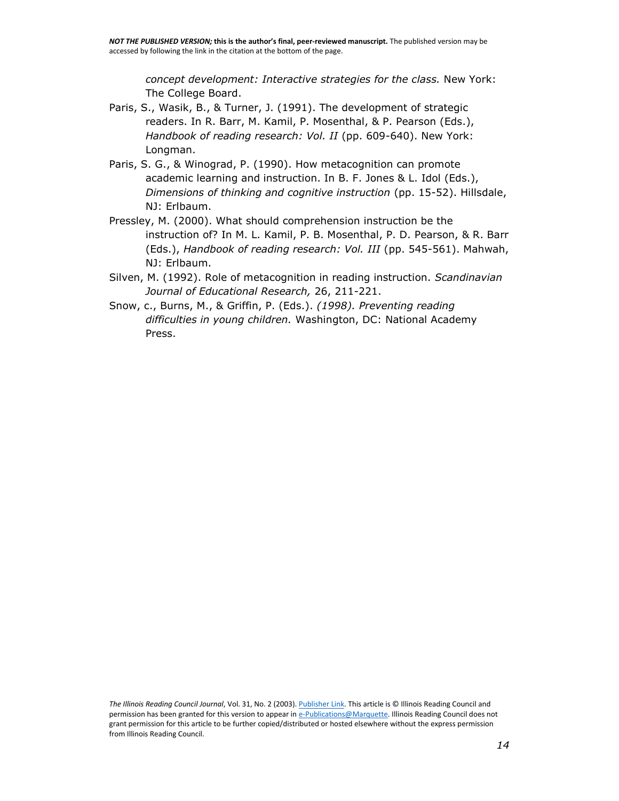*concept development: Interactive strategies for the class.* New York: The College Board.

- Paris, S., Wasik, B., & Turner, J. (1991). The development of strategic readers. In R. Barr, M. Kamil, P. Mosenthal, & P. Pearson (Eds.), *Handbook of reading research: Vol. II* (pp. 609-640). New York: Longman.
- Paris, S. G., & Winograd, P. (1990). How metacognition can promote academic learning and instruction. In B. F. Jones & L. Idol (Eds.), *Dimensions of thinking and cognitive instruction* (pp. 15-52). Hillsdale, NJ: Erlbaum.
- Pressley, M. (2000). What should comprehension instruction be the instruction of? In M. L. Kamil, P. B. Mosenthal, P. D. Pearson, & R. Barr (Eds.), *Handbook of reading research: Vol. III* (pp. 545-561). Mahwah, NJ: Erlbaum.
- Silven, M. (1992). Role of metacognition in reading instruction. *Scandinavian Journal of Educational Research,* 26, 211-221.
- Snow, c., Burns, M., & Griffin, P. (Eds.). *(1998). Preventing reading difficulties in young children.* Washington, DC: National Academy Press.

*The Illinois Reading Council Journal*, Vol. 31, No. 2 (2003)[. Publisher Link.](http://www.illinoisreadingcouncil.org/ircjournal.html) This article is © Illinois Reading Council and permission has been granted for this version to appear i[n e-Publications@Marquette.](http://epublications.marquette.edu/) Illinois Reading Council does not grant permission for this article to be further copied/distributed or hosted elsewhere without the express permission from Illinois Reading Council.